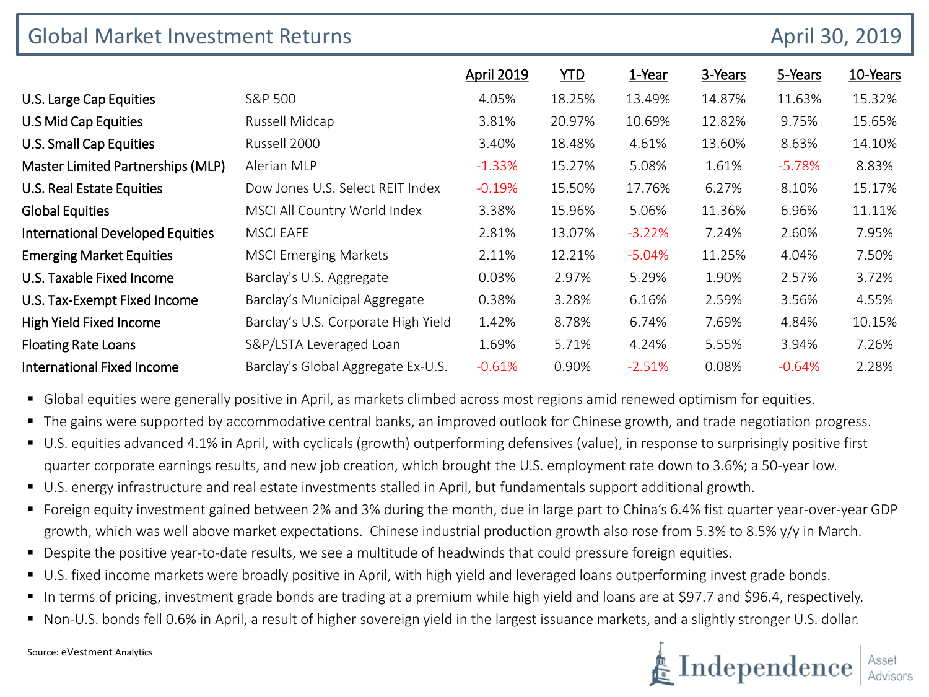| <b>Global Market Investment Returns</b> |                                     |                   |            |          |         |          | April 30, 2019 |  |
|-----------------------------------------|-------------------------------------|-------------------|------------|----------|---------|----------|----------------|--|
|                                         |                                     | <b>April 2019</b> | <u>YTD</u> | 1-Year   | 3-Years | 5-Years  | 10-Years       |  |
| U.S. Large Cap Equities                 | S&P 500                             | 4.05%             | 18.25%     | 13.49%   | 14.87%  | 11.63%   | 15.32%         |  |
| U.S Mid Cap Equities                    | Russell Midcap                      | 3.81%             | 20.97%     | 10.69%   | 12.82%  | 9.75%    | 15.65%         |  |
| <b>U.S. Small Cap Equities</b>          | Russell 2000                        | 3.40%             | 18.48%     | 4.61%    | 13.60%  | 8.63%    | 14.10%         |  |
| Master Limited Partnerships (MLP)       | Alerian MLP                         | $-1.33%$          | 15.27%     | 5.08%    | 1.61%   | $-5.78%$ | 8.83%          |  |
| U.S. Real Estate Equities               | Dow Jones U.S. Select REIT Index    | $-0.19%$          | 15.50%     | 17.76%   | 6.27%   | 8.10%    | 15.17%         |  |
| <b>Global Equities</b>                  | MSCI All Country World Index        | 3.38%             | 15.96%     | 5.06%    | 11.36%  | 6.96%    | 11.11%         |  |
| <b>International Developed Equities</b> | <b>MSCI EAFE</b>                    | 2.81%             | 13.07%     | $-3.22%$ | 7.24%   | 2.60%    | 7.95%          |  |
| <b>Emerging Market Equities</b>         | <b>MSCI Emerging Markets</b>        | 2.11%             | 12.21%     | $-5.04%$ | 11.25%  | 4.04%    | 7.50%          |  |
| U.S. Taxable Fixed Income               | Barclay's U.S. Aggregate            | 0.03%             | 2.97%      | 5.29%    | 1.90%   | 2.57%    | 3.72%          |  |
| U.S. Tax-Exempt Fixed Income            | Barclay's Municipal Aggregate       | 0.38%             | 3.28%      | 6.16%    | 2.59%   | 3.56%    | 4.55%          |  |
| High Yield Fixed Income                 | Barclay's U.S. Corporate High Yield | 1.42%             | 8.78%      | 6.74%    | 7.69%   | 4.84%    | 10.15%         |  |
| <b>Floating Rate Loans</b>              | S&P/LSTA Leveraged Loan             | 1.69%             | 5.71%      | 4.24%    | 5.55%   | 3.94%    | 7.26%          |  |
| <b>International Fixed Income</b>       | Barclay's Global Aggregate Ex-U.S.  | $-0.61%$          | 0.90%      | $-2.51%$ | 0.08%   | $-0.64%$ | 2.28%          |  |

**G** Global equities were generally positive in April, as markets climbed across most regions amid renewed optimism for equities.

- The gains were supported by accommodative central banks, an improved outlook for Chinese growth, and trade negotiation progress.
- U.S. equities advanced 4.1% in April, with cyclicals (growth) outperforming defensives (value), in response to surprisingly positive first quarter corporate earnings results, and new job creation, which brought the U.S. employment rate down to 3.6%; a 50-year low.
- U.S. energy infrastructure and real estate investments stalled in April, but fundamentals support additional growth.
- Foreign equity investment gained between 2% and 3% during the month, due in large part to China's 6.4% fist quarter year-over-year GDP growth, which was well above market expectations. Chinese industrial production growth also rose from 5.3% to 8.5% y/y in March.
- Despite the positive year-to-date results, we see a multitude of headwinds that could pressure foreign equities.
- U.S. fixed income markets were broadly positive in April, with high yield and leveraged loans outperforming invest grade bonds.
- In terms of pricing, investment grade bonds are trading at a premium while high yield and loans are at \$97.7 and \$96.4, respectively.
- Non-U.S. bonds fell 0.6% in April, a result of higher sovereign yield in the largest issuance markets, and a slightly stronger U.S. dollar.



Source: eVestment Analytics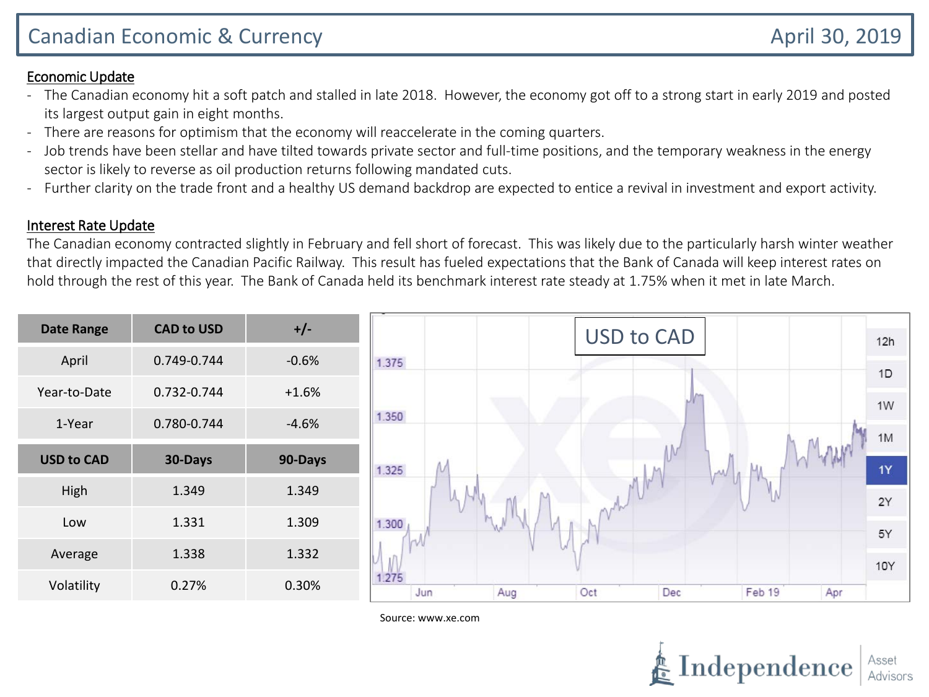## Economic Update

- The Canadian economy hit a soft patch and stalled in late 2018. However, the economy got off to a strong start in early 2019 and posted its largest output gain in eight months.
- There are reasons for optimism that the economy will reaccelerate in the coming quarters.
- Job trends have been stellar and have tilted towards private sector and full-time positions, and the temporary weakness in the energy sector is likely to reverse as oil production returns following mandated cuts.
- Further clarity on the trade front and a healthy US demand backdrop are expected to entice a revival in investment and export activity.

## Interest Rate Update

The Canadian economy contracted slightly in February and fell short of forecast. This was likely due to the particularly harsh winter weather that directly impacted the Canadian Pacific Railway. This result has fueled expectations that the Bank of Canada will keep interest rates on hold through the rest of this year. The Bank of Canada held its benchmark interest rate steady at 1.75% when it met in late March.

| <b>Date Range</b> | <b>CAD to USD</b> | $+/-$   | <b>USD to CAD</b>                         | 12h        |
|-------------------|-------------------|---------|-------------------------------------------|------------|
| April             | 0.749-0.744       | $-0.6%$ | 1.375                                     | 1D         |
| Year-to-Date      | 0.732-0.744       | $+1.6%$ |                                           |            |
| 1-Year            | 0.780-0.744       | $-4.6%$ | 1.350                                     | 1W         |
| <b>USD to CAD</b> |                   |         |                                           | 1M         |
|                   | 30-Days           | 90-Days | 1.325<br><b>AAU</b>                       | 1Y         |
| High              | 1.349             | 1.349   |                                           | 2Y         |
| Low               | 1.331             | 1.309   | 1.300                                     | 5Y         |
| Average           | 1.338             | 1.332   |                                           |            |
|                   |                   |         | 1.275                                     | <b>10Y</b> |
| Volatility        | 0.27%             | 0.30%   | Oct<br>Dec<br>Feb 19<br>Apr<br>Jun<br>Aug |            |

Source: www.xe.com